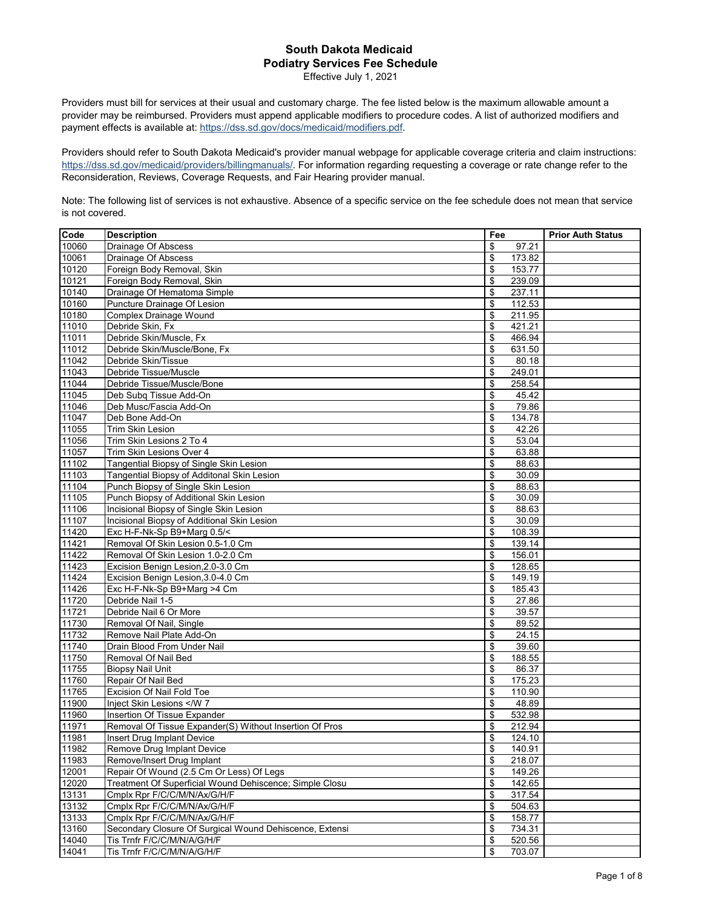## **South Dakota Medicaid Podiatry Services Fee Schedule**

Effective July 1, 2021

Providers must bill for services at their usual and customary charge. The fee listed below is the maximum allowable amount a provider may be reimbursed. Providers must append applicable modifiers to procedure codes. A list of authorized modifiers and payment effects is available at: https://dss.sd.gov/docs/medicaid/modifiers.pdf.

Providers should refer to South Dakota Medicaid's provider manual webpage for applicable coverage criteria and claim instructions: https://dss.sd.gov/medicaid/providers/billingmanuals/. For information regarding requesting a coverage or rate change refer to the Reconsideration, Reviews, Coverage Requests, and Fair Hearing provider manual.

Note: The following list of services is not exhaustive. Absence of a specific service on the fee schedule does not mean that service is not covered.

| Code               | <b>Description</b>                                      | Fee          | <b>Prior Auth Status</b> |
|--------------------|---------------------------------------------------------|--------------|--------------------------|
| 10060              | Drainage Of Abscess                                     | \$<br>97.21  |                          |
| 10061              | Drainage Of Abscess                                     | \$<br>173.82 |                          |
| 10120              | Foreign Body Removal, Skin                              | \$<br>153.77 |                          |
| 10121              | Foreign Body Removal, Skin                              | \$<br>239.09 |                          |
| 10140              | Drainage Of Hematoma Simple                             | 237.11<br>\$ |                          |
| 10160              | Puncture Drainage Of Lesion                             | \$<br>112.53 |                          |
| 10180              | Complex Drainage Wound                                  | \$<br>211.95 |                          |
| 11010              | Debride Skin, Fx                                        | 421.21<br>\$ |                          |
| 11011              | Debride Skin/Muscle, Fx                                 | \$<br>466.94 |                          |
| 11012              | Debride Skin/Muscle/Bone, Fx                            | 631.50<br>\$ |                          |
| 11042              | Debride Skin/Tissue                                     | \$<br>80.18  |                          |
| 11043              | Debride Tissue/Muscle                                   | \$<br>249.01 |                          |
| 11044              | Debride Tissue/Muscle/Bone                              | \$<br>258.54 |                          |
| 11045              | Deb Subg Tissue Add-On                                  | \$<br>45.42  |                          |
| 11046              | Deb Musc/Fascia Add-On                                  | \$<br>79.86  |                          |
| 11047              | Deb Bone Add-On                                         | \$<br>134.78 |                          |
| 11055              | Trim Skin Lesion                                        | \$<br>42.26  |                          |
| 11056              | Trim Skin Lesions 2 To 4                                | \$<br>53.04  |                          |
| 11057              | Trim Skin Lesions Over 4                                | \$<br>63.88  |                          |
| 11102              | Tangential Biopsy of Single Skin Lesion                 | \$<br>88.63  |                          |
| 11103              | Tangential Biopsy of Additonal Skin Lesion              | \$<br>30.09  |                          |
| 11104              | Punch Biopsy of Single Skin Lesion                      | \$<br>88.63  |                          |
| 11105              | Punch Biopsy of Additional Skin Lesion                  | \$<br>30.09  |                          |
| 11106              | Incisional Biopsy of Single Skin Lesion                 | \$<br>88.63  |                          |
| 11107              | Incisional Biopsy of Additional Skin Lesion             | \$<br>30.09  |                          |
| 11420              | Exc H-F-Nk-Sp B9+Marg 0.5/<                             | \$<br>108.39 |                          |
| 11421              | Removal Of Skin Lesion 0.5-1.0 Cm                       | \$<br>139.14 |                          |
| 11422              | Removal Of Skin Lesion 1.0-2.0 Cm                       | \$<br>156.01 |                          |
| 11423              | Excision Benign Lesion, 2.0-3.0 Cm                      | \$<br>128.65 |                          |
| 11424              | Excision Benign Lesion, 3.0-4.0 Cm                      | 149.19<br>\$ |                          |
| 11426              | Exc H-F-Nk-Sp B9+Marg >4 Cm                             | \$<br>185.43 |                          |
| 11720              | Debride Nail 1-5                                        | \$<br>27.86  |                          |
| 11721              | Debride Nail 6 Or More                                  | \$<br>39.57  |                          |
| 11730              | Removal Of Nail, Single                                 | \$<br>89.52  |                          |
| 11732              | Remove Nail Plate Add-On                                | \$<br>24.15  |                          |
| 11740              | Drain Blood From Under Nail                             | \$<br>39.60  |                          |
| 11750              | Removal Of Nail Bed                                     | \$<br>188.55 |                          |
| 11755              | <b>Biopsy Nail Unit</b>                                 | \$<br>86.37  |                          |
| 11760              | Repair Of Nail Bed                                      | \$<br>175.23 |                          |
| 11765              | Excision Of Nail Fold Toe                               | \$<br>110.90 |                          |
| 11900              | Inject Skin Lesions <td>\$<br/>48.89</td> <td></td>     | \$<br>48.89  |                          |
| 11960              | <b>Insertion Of Tissue Expander</b>                     | \$<br>532.98 |                          |
| 11971              | Removal Of Tissue Expander(S) Without Insertion Of Pros | \$<br>212.94 |                          |
| 11981              | Insert Drug Implant Device                              | \$<br>124.10 |                          |
| 11982              | Remove Drug Implant Device                              | \$<br>140.91 |                          |
| 11983              | Remove/Insert Drug Implant                              | \$<br>218.07 |                          |
| 12001              | Repair Of Wound (2.5 Cm Or Less) Of Legs                | \$<br>149.26 |                          |
| 12020              | Treatment Of Superficial Wound Dehiscence; Simple Closu | \$<br>142.65 |                          |
| $13\overline{131}$ | Cmplx Rpr F/C/C/M/N/Ax/G/H/F                            | \$<br>317.54 |                          |
| 13132              | Cmplx Rpr F/C/C/M/N/Ax/G/H/F                            | \$<br>504.63 |                          |
| 13133              | Cmplx Rpr F/C/C/M/N/Ax/G/H/F                            | \$<br>158.77 |                          |
| 13160              | Secondary Closure Of Surgical Wound Dehiscence, Extensi | \$<br>734.31 |                          |
| 14040              | Tis Trnfr F/C/C/M/N/A/G/H/F                             | \$<br>520.56 |                          |
| 14041              | Tis Trnfr F/C/C/M/N/A/G/H/F                             | \$<br>703.07 |                          |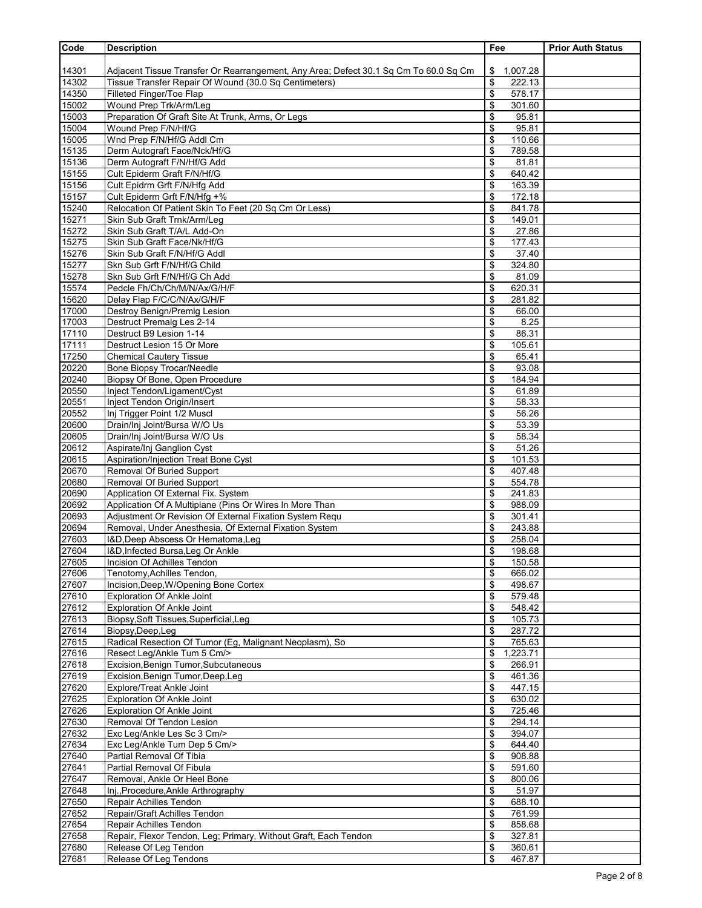| Code           | <b>Description</b>                                                                                                 | Fee                          | <b>Prior Auth Status</b> |
|----------------|--------------------------------------------------------------------------------------------------------------------|------------------------------|--------------------------|
|                |                                                                                                                    |                              |                          |
| 14301          | Adjacent Tissue Transfer Or Rearrangement, Any Area; Defect 30.1 Sq Cm To 60.0 Sq Cm                               | \$<br>1,007.28               |                          |
| 14302          | Tissue Transfer Repair Of Wound (30.0 Sq Centimeters)                                                              | \$<br>222.13                 |                          |
| 14350          | Filleted Finger/Toe Flap                                                                                           | \$<br>578.17                 |                          |
| 15002          | Wound Prep Trk/Arm/Leg                                                                                             | \$<br>301.60                 |                          |
| 15003<br>15004 | Preparation Of Graft Site At Trunk, Arms, Or Legs<br>Wound Prep F/N/Hf/G                                           | \$<br>95.81<br>\$<br>95.81   |                          |
| 15005          | Wnd Prep F/N/Hf/G Addl Cm                                                                                          | \$<br>110.66                 |                          |
| 15135          | Derm Autograft Face/Nck/Hf/G                                                                                       | \$<br>789.58                 |                          |
| 15136          | Derm Autograft F/N/Hf/G Add                                                                                        | \$<br>81.81                  |                          |
| 15155          | Cult Epiderm Graft F/N/Hf/G                                                                                        | 640.42<br>\$                 |                          |
| 15156          | Cult Epidrm Grft F/N/Hfg Add                                                                                       | \$<br>163.39                 |                          |
| 15157          | Cult Epiderm Grft F/N/Hfg +%                                                                                       | 172.18<br>\$                 |                          |
| 15240          | Relocation Of Patient Skin To Feet (20 Sq Cm Or Less)                                                              | \$<br>841.78                 |                          |
| 15271<br>15272 | Skin Sub Graft Trnk/Arm/Leg<br>Skin Sub Graft T/A/L Add-On                                                         | \$<br>149.01<br>27.86<br>\$  |                          |
| 15275          | Skin Sub Graft Face/Nk/Hf/G                                                                                        | 177.43<br>\$                 |                          |
| 15276          | Skin Sub Graft F/N/Hf/G Addl                                                                                       | 37.40<br>\$                  |                          |
| 15277          | Skn Sub Grft F/N/Hf/G Child                                                                                        | 324.80<br>\$                 |                          |
| 15278          | Skn Sub Grft F/N/Hf/G Ch Add                                                                                       | 81.09<br>\$                  |                          |
| 15574          | Pedcle Fh/Ch/Ch/M/N/Ax/G/H/F                                                                                       | \$<br>620.31                 |                          |
| 15620          | Delay Flap F/C/C/N/Ax/G/H/F                                                                                        | \$<br>281.82                 |                          |
| 17000          | Destroy Benign/Premig Lesion                                                                                       | \$<br>66.00                  |                          |
| 17003<br>17110 | Destruct Premalg Les 2-14<br>Destruct B9 Lesion 1-14                                                               | 8.25<br>\$<br>\$<br>86.31    |                          |
| 17111          | Destruct Lesion 15 Or More                                                                                         | \$<br>105.61                 |                          |
| 17250          | <b>Chemical Cautery Tissue</b>                                                                                     | 65.41<br>\$                  |                          |
| 20220          | Bone Biopsy Trocar/Needle                                                                                          | \$<br>93.08                  |                          |
| 20240          | Biopsy Of Bone, Open Procedure                                                                                     | \$<br>184.94                 |                          |
| 20550          | Inject Tendon/Ligament/Cyst                                                                                        | 61.89<br>\$                  |                          |
| 20551          | Inject Tendon Origin/Insert                                                                                        | \$<br>58.33                  |                          |
| 20552<br>20600 | Inj Trigger Point 1/2 Muscl<br>Drain/Inj Joint/Bursa W/O Us                                                        | \$<br>56.26<br>\$<br>53.39   |                          |
| 20605          | Drain/Inj Joint/Bursa W/O Us                                                                                       | \$<br>58.34                  |                          |
| 20612          | Aspirate/Inj Ganglion Cyst                                                                                         | \$<br>51.26                  |                          |
| 20615          | Aspiration/Injection Treat Bone Cyst                                                                               | 101.53<br>\$                 |                          |
| 20670          | Removal Of Buried Support                                                                                          | \$<br>407.48                 |                          |
| 20680          | Removal Of Buried Support                                                                                          | 554.78<br>\$                 |                          |
| 20690<br>20692 | Application Of External Fix. System                                                                                | 241.83<br>\$                 |                          |
| 20693          | Application Of A Multiplane (Pins Or Wires In More Than<br>Adjustment Or Revision Of External Fixation System Requ | \$<br>988.09<br>\$<br>301.41 |                          |
| 20694          | Removal, Under Anesthesia, Of External Fixation System                                                             | 243.88<br>\$                 |                          |
| 27603          | I&D, Deep Abscess Or Hematoma, Leg                                                                                 | \$<br>258.04                 |                          |
| 27604          | I&D, Infected Bursa, Leg Or Ankle                                                                                  | \$<br>198.68                 |                          |
| 27605          | Incision Of Achilles Tendon                                                                                        | \$<br>150.58                 |                          |
| 27606          | Tenotomy, Achilles Tendon,                                                                                         | \$<br>666.02                 |                          |
| 27607<br>27610 | Incision, Deep, W/Opening Bone Cortex                                                                              | \$<br>498.67                 |                          |
| 27612          | <b>Exploration Of Ankle Joint</b><br><b>Exploration Of Ankle Joint</b>                                             | \$<br>579.48<br>548.42<br>\$ |                          |
| 27613          | Biopsy, Soft Tissues, Superficial, Leg                                                                             | \$<br>105.73                 |                          |
| 27614          | Biopsy, Deep, Leg                                                                                                  | \$<br>287.72                 |                          |
| 27615          | Radical Resection Of Tumor (Eg, Malignant Neoplasm), So                                                            | 765.63<br>\$                 |                          |
| 27616          | Resect Leg/Ankle Tum 5 Cm/>                                                                                        | \$<br>1,223.71               |                          |
| 27618          | Excision, Benign Tumor, Subcutaneous                                                                               | 266.91<br>\$                 |                          |
| 27619          | Excision, Benign Tumor, Deep, Leg                                                                                  | 461.36<br>\$                 |                          |
| 27620<br>27625 | <b>Explore/Treat Ankle Joint</b><br><b>Exploration Of Ankle Joint</b>                                              | \$<br>447.15<br>\$<br>630.02 |                          |
| 27626          | <b>Exploration Of Ankle Joint</b>                                                                                  | 725.46<br>\$                 |                          |
| 27630          | Removal Of Tendon Lesion                                                                                           | \$<br>294.14                 |                          |
| 27632          | Exc Leg/Ankle Les Sc 3 Cm/>                                                                                        | \$<br>394.07                 |                          |
| 27634          | Exc Leg/Ankle Tum Dep 5 Cm/>                                                                                       | 644.40<br>\$                 |                          |
| 27640          | Partial Removal Of Tibia                                                                                           | \$<br>908.88                 |                          |
| 27641          | Partial Removal Of Fibula                                                                                          | 591.60<br>\$                 |                          |
| 27647<br>27648 | Removal, Ankle Or Heel Bone<br>Inj., Procedure, Ankle Arthrography                                                 | 800.06<br>\$<br>\$<br>51.97  |                          |
| 27650          | Repair Achilles Tendon                                                                                             | 688.10<br>\$                 |                          |
| 27652          | Repair/Graft Achilles Tendon                                                                                       | 761.99<br>\$                 |                          |
| 27654          | Repair Achilles Tendon                                                                                             | \$<br>858.68                 |                          |
| 27658          | Repair, Flexor Tendon, Leg; Primary, Without Graft, Each Tendon                                                    | \$<br>327.81                 |                          |
| 27680          | Release Of Leg Tendon                                                                                              | \$<br>360.61                 |                          |
| 27681          | Release Of Leg Tendons                                                                                             | \$<br>467.87                 |                          |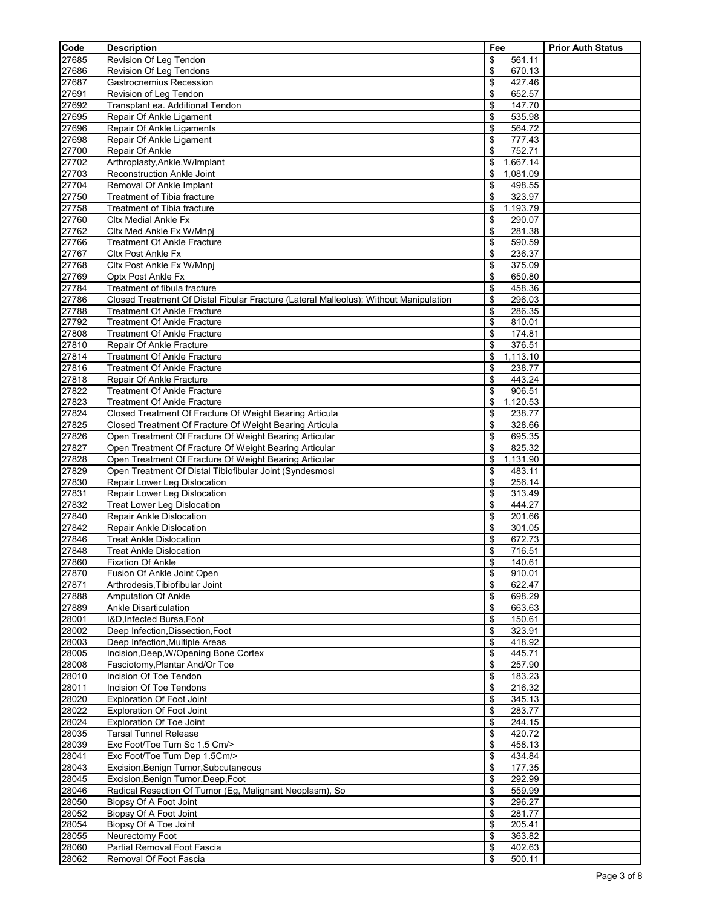| Code           | <b>Description</b>                                                                                                 | Fee                          | <b>Prior Auth Status</b> |
|----------------|--------------------------------------------------------------------------------------------------------------------|------------------------------|--------------------------|
| 27685          | Revision Of Leg Tendon                                                                                             | 561.11<br>\$                 |                          |
| 27686          | Revision Of Leg Tendons                                                                                            | \$<br>670.13                 |                          |
| 27687          | Gastrocnemius Recession                                                                                            | \$<br>427.46                 |                          |
| 27691          | Revision of Leg Tendon                                                                                             | \$<br>652.57                 |                          |
| 27692          | Transplant ea. Additional Tendon                                                                                   | \$<br>147.70                 |                          |
| 27695<br>27696 | Repair Of Ankle Ligament<br>Repair Of Ankle Ligaments                                                              | 535.98<br>\$<br>\$<br>564.72 |                          |
| 27698          | Repair Of Ankle Ligament                                                                                           | \$<br>777.43                 |                          |
| 27700          | Repair Of Ankle                                                                                                    | 752.71<br>\$                 |                          |
| 27702          | Arthroplasty, Ankle, W/Implant                                                                                     | 1,667.14<br>\$               |                          |
| 27703          | Reconstruction Ankle Joint                                                                                         | \$<br>1,081.09               |                          |
| 27704          | Removal Of Ankle Implant                                                                                           | 498.55<br>\$                 |                          |
| 27750          | Treatment of Tibia fracture                                                                                        | \$<br>323.97                 |                          |
| 27758          | Treatment of Tibia fracture                                                                                        | \$<br>1,193.79               |                          |
| 27760<br>27762 | <b>Cltx Medial Ankle Fx</b><br>Cltx Med Ankle Fx W/Mnpj                                                            | 290.07<br>\$<br>\$<br>281.38 |                          |
| 27766          | Treatment Of Ankle Fracture                                                                                        | \$<br>590.59                 |                          |
| 27767          | <b>Cltx Post Ankle Fx</b>                                                                                          | 236.37<br>\$                 |                          |
| 27768          | Cltx Post Ankle Fx W/Mnpj                                                                                          | \$<br>375.09                 |                          |
| 27769          | Optx Post Ankle Fx                                                                                                 | \$<br>650.80                 |                          |
| 27784          | Treatment of fibula fracture                                                                                       | 458.36<br>\$                 |                          |
| 27786          | Closed Treatment Of Distal Fibular Fracture (Lateral Malleolus); Without Manipulation                              | 296.03<br>\$                 |                          |
| 27788          | <b>Treatment Of Ankle Fracture</b>                                                                                 | \$<br>286.35                 |                          |
| 27792<br>27808 | <b>Treatment Of Ankle Fracture</b><br><b>Treatment Of Ankle Fracture</b>                                           | \$<br>810.01<br>174.81<br>\$ |                          |
| 27810          | Repair Of Ankle Fracture                                                                                           | \$<br>376.51                 |                          |
| 27814          | <b>Treatment Of Ankle Fracture</b>                                                                                 | 1,113.10<br>\$               |                          |
| 27816          | <b>Treatment Of Ankle Fracture</b>                                                                                 | \$<br>238.77                 |                          |
| 27818          | Repair Of Ankle Fracture                                                                                           | \$<br>443.24                 |                          |
| 27822          | <b>Treatment Of Ankle Fracture</b>                                                                                 | \$<br>906.51                 |                          |
| 27823          | <b>Treatment Of Ankle Fracture</b>                                                                                 | 1,120.53<br>\$               |                          |
| 27824<br>27825 | Closed Treatment Of Fracture Of Weight Bearing Articula<br>Closed Treatment Of Fracture Of Weight Bearing Articula | \$<br>238.77<br>\$<br>328.66 |                          |
| 27826          | Open Treatment Of Fracture Of Weight Bearing Articular                                                             | 695.35<br>\$                 |                          |
| 27827          | Open Treatment Of Fracture Of Weight Bearing Articular                                                             | 825.32<br>\$                 |                          |
| 27828          | Open Treatment Of Fracture Of Weight Bearing Articular                                                             | \$<br>1,131.90               |                          |
| 27829          | Open Treatment Of Distal Tibiofibular Joint (Syndesmosi                                                            | 483.11<br>\$                 |                          |
| 27830          | Repair Lower Leg Dislocation                                                                                       | \$<br>256.14                 |                          |
| 27831<br>27832 | Repair Lower Leg Dislocation                                                                                       | \$<br>313.49<br>444.27<br>\$ |                          |
| 27840          | <b>Treat Lower Leg Dislocation</b><br>Repair Ankle Dislocation                                                     | \$<br>201.66                 |                          |
| 27842          | Repair Ankle Dislocation                                                                                           | \$<br>301.05                 |                          |
| 27846          | <b>Treat Ankle Dislocation</b>                                                                                     | \$<br>672.73                 |                          |
| 27848          | <b>Treat Ankle Dislocation</b>                                                                                     | \$<br>716.51                 |                          |
| 27860          | <b>Fixation Of Ankle</b>                                                                                           | \$<br>140.61                 |                          |
| 27870          | Fusion Of Ankle Joint Open                                                                                         | \$<br>910.01                 |                          |
| 27871<br>27888 | Arthrodesis, Tibiofibular Joint<br><b>Amputation Of Ankle</b>                                                      | 622.47<br>\$<br>\$<br>698.29 |                          |
| 27889          | <b>Ankle Disarticulation</b>                                                                                       | 663.63<br>\$                 |                          |
| 28001          | I&D, Infected Bursa, Foot                                                                                          | \$<br>150.61                 |                          |
| 28002          | Deep Infection, Dissection, Foot                                                                                   | 323.91<br>\$                 |                          |
| 28003          | Deep Infection, Multiple Areas                                                                                     | 418.92<br>\$                 |                          |
| 28005          | Incision, Deep, W/Opening Bone Cortex                                                                              | \$<br>445.71                 |                          |
| 28008          | Fasciotomy, Plantar And/Or Toe                                                                                     | \$<br>257.90                 |                          |
| 28010<br>28011 | Incision Of Toe Tendon<br>Incision Of Toe Tendons                                                                  | \$<br>183.23<br>216.32<br>\$ |                          |
| 28020          | <b>Exploration Of Foot Joint</b>                                                                                   | 345.13<br>\$                 |                          |
| 28022          | <b>Exploration Of Foot Joint</b>                                                                                   | \$<br>283.77                 |                          |
| 28024          | <b>Exploration Of Toe Joint</b>                                                                                    | 244.15<br>\$                 |                          |
| 28035          | <b>Tarsal Tunnel Release</b>                                                                                       | \$<br>420.72                 |                          |
| 28039          | Exc Foot/Toe Tum Sc 1.5 Cm/>                                                                                       | \$<br>458.13                 |                          |
| 28041          | Exc Foot/Toe Tum Dep 1.5Cm/>                                                                                       | 434.84<br>\$                 |                          |
| 28043          | Excision, Benign Tumor, Subcutaneous                                                                               | \$<br>177.35                 |                          |
| 28045<br>28046 | Excision, Benign Tumor, Deep, Foot<br>Radical Resection Of Tumor (Eg, Malignant Neoplasm), So                      | \$<br>292.99<br>559.99<br>\$ |                          |
| 28050          | Biopsy Of A Foot Joint                                                                                             | \$<br>296.27                 |                          |
| 28052          | Biopsy Of A Foot Joint                                                                                             | \$<br>281.77                 |                          |
| 28054          | Biopsy Of A Toe Joint                                                                                              | 205.41<br>\$                 |                          |
| 28055          | Neurectomy Foot                                                                                                    | \$<br>363.82                 |                          |
| 28060          | Partial Removal Foot Fascia                                                                                        | 402.63<br>\$                 |                          |
| 28062          | Removal Of Foot Fascia                                                                                             | \$<br>500.11                 |                          |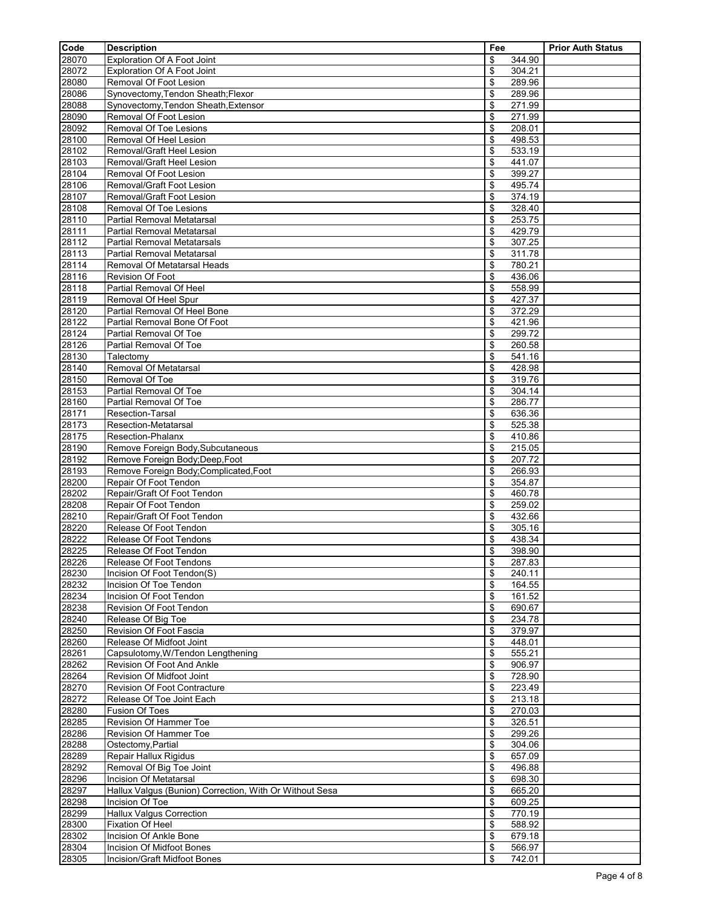| Code           | <b>Description</b>                                         | Fee                          | <b>Prior Auth Status</b> |
|----------------|------------------------------------------------------------|------------------------------|--------------------------|
| 28070          | Exploration Of A Foot Joint                                | \$<br>344.90                 |                          |
| 28072          | Exploration Of A Foot Joint                                | \$<br>304.21                 |                          |
| 28080          | Removal Of Foot Lesion                                     | \$<br>289.96                 |                          |
| 28086          | Synovectomy, Tendon Sheath; Flexor                         | \$<br>289.96                 |                          |
| 28088          | Synovectomy, Tendon Sheath, Extensor                       | \$<br>271.99                 |                          |
| 28090          | Removal Of Foot Lesion                                     | \$<br>271.99                 |                          |
| 28092<br>28100 | <b>Removal Of Toe Lesions</b><br>Removal Of Heel Lesion    | \$<br>208.01<br>\$<br>498.53 |                          |
| 28102          | Removal/Graft Heel Lesion                                  | \$<br>533.19                 |                          |
| 28103          | Removal/Graft Heel Lesion                                  | \$<br>441.07                 |                          |
| 28104          | Removal Of Foot Lesion                                     | 399.27<br>\$                 |                          |
| 28106          | Removal/Graft Foot Lesion                                  | 495.74<br>\$                 |                          |
| 28107          | Removal/Graft Foot Lesion                                  | \$<br>374.19                 |                          |
| 28108          | <b>Removal Of Toe Lesions</b>                              | \$<br>328.40                 |                          |
| 28110          | Partial Removal Metatarsal                                 | \$<br>253.75                 |                          |
| 28111          | Partial Removal Metatarsal                                 | \$<br>429.79                 |                          |
| 28112          | <b>Partial Removal Metatarsals</b>                         | \$<br>307.25                 |                          |
| 28113          | <b>Partial Removal Metatarsal</b>                          | 311.78<br>\$<br>780.21       |                          |
| 28114<br>28116 | Removal Of Metatarsal Heads<br><b>Revision Of Foot</b>     | \$<br>\$<br>436.06           |                          |
| 28118          | Partial Removal Of Heel                                    | 558.99<br>\$                 |                          |
| 28119          | Removal Of Heel Spur                                       | \$<br>427.37                 |                          |
| 28120          | Partial Removal Of Heel Bone                               | \$<br>372.29                 |                          |
| 28122          | Partial Removal Bone Of Foot                               | 421.96<br>\$                 |                          |
| 28124          | Partial Removal Of Toe                                     | \$<br>299.72                 |                          |
| 28126          | Partial Removal Of Toe                                     | \$<br>260.58                 |                          |
| 28130          | Talectomy                                                  | 541.16<br>\$                 |                          |
| 28140          | Removal Of Metatarsal                                      | \$<br>428.98                 |                          |
| 28150          | Removal Of Toe                                             | \$<br>319.76                 |                          |
| 28153          | Partial Removal Of Toe                                     | \$<br>304.14                 |                          |
| 28160          | Partial Removal Of Toe<br><b>Resection-Tarsal</b>          | 286.77<br>\$                 |                          |
| 28171<br>28173 | Resection-Metatarsal                                       | \$<br>636.36<br>\$<br>525.38 |                          |
| 28175          | <b>Resection-Phalanx</b>                                   | \$<br>410.86                 |                          |
| 28190          | Remove Foreign Body, Subcutaneous                          | \$<br>215.05                 |                          |
| 28192          | Remove Foreign Body; Deep, Foot                            | \$<br>207.72                 |                          |
| 28193          | Remove Foreign Body;Complicated,Foot                       | 266.93<br>\$                 |                          |
| 28200          | Repair Of Foot Tendon                                      | \$<br>354.87                 |                          |
| 28202          | Repair/Graft Of Foot Tendon                                | \$<br>460.78                 |                          |
| 28208          | Repair Of Foot Tendon                                      | 259.02<br>\$                 |                          |
| 28210          | Repair/Graft Of Foot Tendon                                | \$<br>432.66                 |                          |
| 28220          | Release Of Foot Tendon                                     | \$<br>305.16                 |                          |
| 28222          | Release Of Foot Tendons                                    | \$<br>438.34<br>\$<br>398.90 |                          |
| 28225<br>28226 | Release Of Foot Tendon<br>Release Of Foot Tendons          | \$<br>287.83                 |                          |
| 28230          | Incision Of Foot Tendon(S)                                 | \$<br>240.11                 |                          |
| 28232          | Incision Of Toe Tendon                                     | \$<br>164.55                 |                          |
| 28234          | Incision Of Foot Tendon                                    | \$<br>161.52                 |                          |
| 28238          | Revision Of Foot Tendon                                    | \$<br>690.67                 |                          |
| 28240          | Release Of Big Toe                                         | \$<br>234.78                 |                          |
| 28250          | Revision Of Foot Fascia                                    | \$<br>379.97                 |                          |
| 28260          | Release Of Midfoot Joint                                   | \$<br>448.01                 |                          |
| 28261          | Capsulotomy, W/Tendon Lengthening                          | \$<br>555.21                 |                          |
| 28262          | Revision Of Foot And Ankle                                 | \$<br>906.97                 |                          |
| 28264<br>28270 | Revision Of Midfoot Joint<br>Revision Of Foot Contracture  | \$<br>728.90<br>223.49<br>\$ |                          |
| 28272          | Release Of Toe Joint Each                                  | \$<br>213.18                 |                          |
| 28280          | <b>Fusion Of Toes</b>                                      | \$<br>270.03                 |                          |
| 28285          | Revision Of Hammer Toe                                     | \$<br>326.51                 |                          |
| 28286          | Revision Of Hammer Toe                                     | \$<br>299.26                 |                          |
| 28288          | Ostectomy, Partial                                         | \$<br>304.06                 |                          |
| 28289          | Repair Hallux Rigidus                                      | 657.09<br>\$                 |                          |
| 28292          | Removal Of Big Toe Joint                                   | \$<br>496.88                 |                          |
| 28296          | Incision Of Metatarsal                                     | \$<br>698.30                 |                          |
| 28297          | Hallux Valgus (Bunion) Correction, With Or Without Sesa    | \$<br>665.20                 |                          |
| 28298          | Incision Of Toe                                            | \$<br>609.25                 |                          |
| 28299          | <b>Hallux Valgus Correction</b><br><b>Fixation Of Heel</b> | \$<br>770.19                 |                          |
| 28300<br>28302 | Incision Of Ankle Bone                                     | \$<br>588.92<br>\$<br>679.18 |                          |
| 28304          | Incision Of Midfoot Bones                                  | \$<br>566.97                 |                          |
| 28305          | Incision/Graft Midfoot Bones                               | \$<br>742.01                 |                          |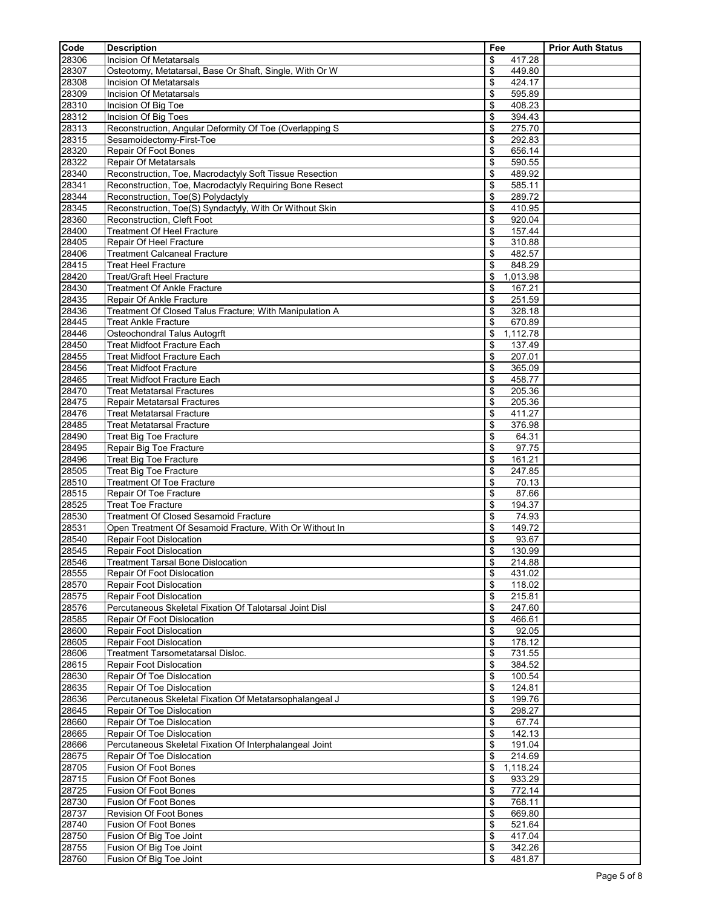| Code           | <b>Description</b>                                                                      | Fee                          | <b>Prior Auth Status</b> |
|----------------|-----------------------------------------------------------------------------------------|------------------------------|--------------------------|
| 28306          | <b>Incision Of Metatarsals</b>                                                          | \$<br>417.28                 |                          |
| 28307          | Osteotomy, Metatarsal, Base Or Shaft, Single, With Or W                                 | \$<br>449.80                 |                          |
| 28308          | Incision Of Metatarsals                                                                 | \$<br>424.17                 |                          |
| 28309          | Incision Of Metatarsals                                                                 | \$<br>595.89                 |                          |
| 28310          | Incision Of Big Toe                                                                     | \$<br>408.23                 |                          |
| 28312          | Incision Of Big Toes                                                                    | 394.43<br>\$                 |                          |
| 28313          | Reconstruction, Angular Deformity Of Toe (Overlapping S)                                | 275.70<br>\$                 |                          |
| 28315          | Sesamoidectomy-First-Toe                                                                | \$<br>292.83                 |                          |
| 28320          | Repair Of Foot Bones                                                                    | \$<br>656.14                 |                          |
| 28322<br>28340 | <b>Repair Of Metatarsals</b><br>Reconstruction, Toe, Macrodactyly Soft Tissue Resection | \$<br>590.55<br>\$<br>489.92 |                          |
| 28341          | Reconstruction, Toe, Macrodactyly Requiring Bone Resect                                 | 585.11<br>\$                 |                          |
| 28344          | Reconstruction, Toe(S) Polydactyly                                                      | \$<br>289.72                 |                          |
| 28345          | Reconstruction, Toe(S) Syndactyly, With Or Without Skin                                 | \$<br>410.95                 |                          |
| 28360          | Reconstruction, Cleft Foot                                                              | 920.04<br>\$                 |                          |
| 28400          | <b>Treatment Of Heel Fracture</b>                                                       | 157.44<br>\$                 |                          |
| 28405          | Repair Of Heel Fracture                                                                 | \$<br>310.88                 |                          |
| 28406          | <b>Treatment Calcaneal Fracture</b>                                                     | 482.57<br>\$                 |                          |
| 28415          | <b>Treat Heel Fracture</b>                                                              | \$<br>848.29                 |                          |
| 28420          | <b>Treat/Graft Heel Fracture</b>                                                        | \$<br>1,013.98               |                          |
| 28430          | <b>Treatment Of Ankle Fracture</b>                                                      | 167.21<br>\$                 |                          |
| 28435          | Repair Of Ankle Fracture                                                                | \$<br>251.59                 |                          |
| 28436          | Treatment Of Closed Talus Fracture; With Manipulation A                                 | \$<br>328.18                 |                          |
| 28445          | <b>Treat Ankle Fracture</b>                                                             | \$<br>670.89                 |                          |
| 28446          | Osteochondral Talus Autogrft                                                            | 1,112.78<br>\$               |                          |
| 28450          | <b>Treat Midfoot Fracture Each</b>                                                      | 137.49<br>\$                 |                          |
| 28455          | <b>Treat Midfoot Fracture Each</b>                                                      | \$<br>207.01                 |                          |
| 28456          | <b>Treat Midfoot Fracture</b>                                                           | \$<br>365.09                 |                          |
| 28465          | <b>Treat Midfoot Fracture Each</b>                                                      | \$<br>458.77                 |                          |
| 28470          | <b>Treat Metatarsal Fractures</b>                                                       | 205.36<br>\$                 |                          |
| 28475          | Repair Metatarsal Fractures                                                             | 205.36<br>\$                 |                          |
| 28476<br>28485 | <b>Treat Metatarsal Fracture</b><br><b>Treat Metatarsal Fracture</b>                    | \$<br>411.27                 |                          |
| 28490          |                                                                                         | \$<br>376.98<br>\$<br>64.31  |                          |
| 28495          | Treat Big Toe Fracture<br>Repair Big Toe Fracture                                       | \$<br>97.75                  |                          |
| 28496          | <b>Treat Big Toe Fracture</b>                                                           | 161.21<br>\$                 |                          |
| 28505          | Treat Big Toe Fracture                                                                  | \$<br>247.85                 |                          |
| 28510          | <b>Treatment Of Toe Fracture</b>                                                        | \$<br>70.13                  |                          |
| 28515          | Repair Of Toe Fracture                                                                  | \$<br>87.66                  |                          |
| 28525          | <b>Treat Toe Fracture</b>                                                               | \$<br>194.37                 |                          |
| 28530          | Treatment Of Closed Sesamoid Fracture                                                   | \$<br>74.93                  |                          |
| 28531          | Open Treatment Of Sesamoid Fracture, With Or Without In                                 | \$<br>149.72                 |                          |
| 28540          | <b>Repair Foot Dislocation</b>                                                          | \$<br>93.67                  |                          |
| 28545          | <b>Repair Foot Dislocation</b>                                                          | \$<br>130.99                 |                          |
| 28546          | <b>Treatment Tarsal Bone Dislocation</b>                                                | \$<br>214.88                 |                          |
| 28555          | Repair Of Foot Dislocation                                                              | \$<br>431.02                 |                          |
| 28570          | Repair Foot Dislocation                                                                 | 118.02<br>\$                 |                          |
| 28575          | <b>Repair Foot Dislocation</b>                                                          | \$<br>215.81                 |                          |
| 28576          | Percutaneous Skeletal Fixation Of Talotarsal Joint Disl                                 | \$<br>247.60                 |                          |
| 28585          | Repair Of Foot Dislocation                                                              | 466.61<br>\$                 |                          |
| 28600          | <b>Repair Foot Dislocation</b>                                                          | \$<br>92.05                  |                          |
| 28605          | <b>Repair Foot Dislocation</b><br><b>Treatment Tarsometatarsal Disloc.</b>              | \$<br>178.12                 |                          |
| 28606          | <b>Repair Foot Dislocation</b>                                                          | 731.55<br>\$<br>\$           |                          |
| 28615<br>28630 | Repair Of Toe Dislocation                                                               | 384.52<br>\$<br>100.54       |                          |
| 28635          | Repair Of Toe Dislocation                                                               | 124.81<br>\$                 |                          |
| 28636          | Percutaneous Skeletal Fixation Of Metatarsophalangeal J                                 | \$<br>199.76                 |                          |
| 28645          | Repair Of Toe Dislocation                                                               | \$<br>298.27                 |                          |
| 28660          | Repair Of Toe Dislocation                                                               | 67.74<br>\$                  |                          |
| 28665          | Repair Of Toe Dislocation                                                               | \$<br>142.13                 |                          |
| 28666          | Percutaneous Skeletal Fixation Of Interphalangeal Joint                                 | \$<br>191.04                 |                          |
| 28675          | Repair Of Toe Dislocation                                                               | 214.69<br>\$                 |                          |
| 28705          | Fusion Of Foot Bones                                                                    | \$<br>1,118.24               |                          |
| 28715          | <b>Fusion Of Foot Bones</b>                                                             | \$<br>933.29                 |                          |
| 28725          | <b>Fusion Of Foot Bones</b>                                                             | 772.14<br>\$                 |                          |
| 28730          | Fusion Of Foot Bones                                                                    | \$<br>768.11                 |                          |
| 28737          | Revision Of Foot Bones                                                                  | \$<br>669.80                 |                          |
| 28740          | <b>Fusion Of Foot Bones</b>                                                             | \$<br>521.64                 |                          |
| 28750          | Fusion Of Big Toe Joint                                                                 | \$<br>417.04                 |                          |
| 28755          | Fusion Of Big Toe Joint                                                                 | \$<br>342.26                 |                          |
| 28760          | Fusion Of Big Toe Joint                                                                 | \$<br>481.87                 |                          |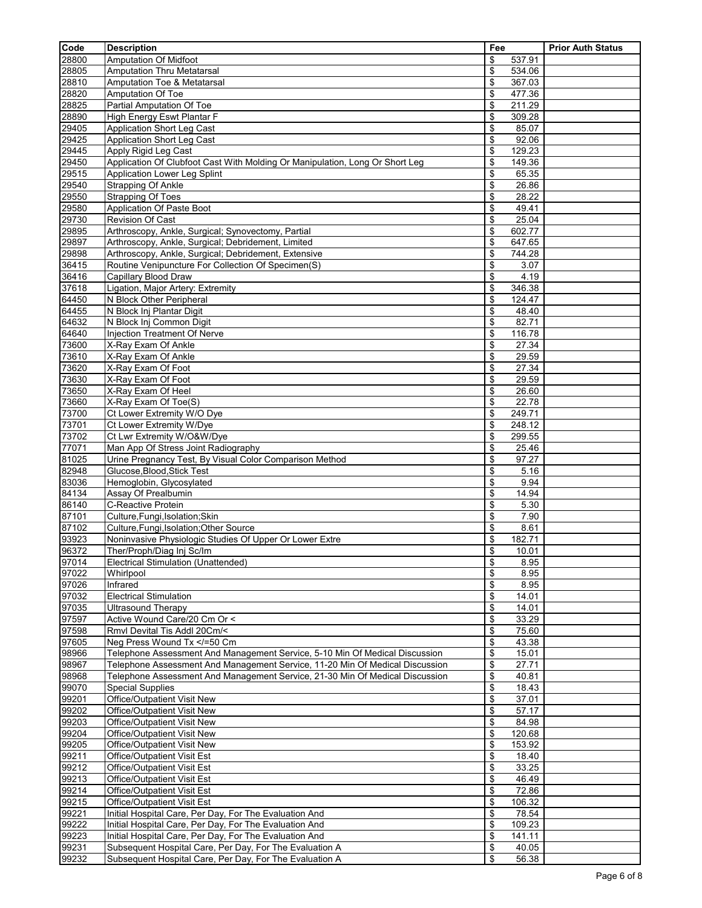| Code           | <b>Description</b>                                                           | Fee                          | <b>Prior Auth Status</b> |
|----------------|------------------------------------------------------------------------------|------------------------------|--------------------------|
| 28800          | Amputation Of Midfoot                                                        | \$<br>537.91                 |                          |
| 28805          | <b>Amputation Thru Metatarsal</b>                                            | \$<br>534.06                 |                          |
| 28810          | Amputation Toe & Metatarsal                                                  | \$<br>367.03                 |                          |
| 28820<br>28825 | <b>Amputation Of Toe</b><br>Partial Amputation Of Toe                        | \$<br>477.36<br>\$<br>211.29 |                          |
| 28890          | High Energy Eswt Plantar F                                                   | \$<br>309.28                 |                          |
| 29405          | Application Short Leg Cast                                                   | \$<br>85.07                  |                          |
| 29425          | Application Short Leg Cast                                                   | \$<br>92.06                  |                          |
| 29445          | Apply Rigid Leg Cast                                                         | \$<br>129.23                 |                          |
| 29450          | Application Of Clubfoot Cast With Molding Or Manipulation, Long Or Short Leg | \$<br>149.36                 |                          |
| 29515          | Application Lower Leg Splint                                                 | \$<br>65.35                  |                          |
| 29540<br>29550 | Strapping Of Ankle<br><b>Strapping Of Toes</b>                               | \$<br>26.86<br>\$<br>28.22   |                          |
| 29580          | Application Of Paste Boot                                                    | \$<br>49.41                  |                          |
| 29730          | Revision Of Cast                                                             | \$<br>25.04                  |                          |
| 29895          | Arthroscopy, Ankle, Surgical; Synovectomy, Partial                           | \$<br>602.77                 |                          |
| 29897          | Arthroscopy, Ankle, Surgical; Debridement, Limited                           | \$<br>647.65                 |                          |
| 29898          | Arthroscopy, Ankle, Surgical; Debridement, Extensive                         | \$<br>744.28                 |                          |
| 36415<br>36416 | Routine Venipuncture For Collection Of Specimen(S)<br>Capillary Blood Draw   | \$<br>3.07<br>\$<br>4.19     |                          |
| 37618          | Ligation, Major Artery: Extremity                                            | \$<br>346.38                 |                          |
| 64450          | N Block Other Peripheral                                                     | \$<br>124.47                 |                          |
| 64455          | N Block Inj Plantar Digit                                                    | \$<br>48.40                  |                          |
| 64632          | N Block Inj Common Digit                                                     | \$<br>82.71                  |                          |
| 64640          | Injection Treatment Of Nerve                                                 | \$<br>116.78                 |                          |
| 73600          | X-Ray Exam Of Ankle                                                          | \$<br>27.34                  |                          |
| 73610<br>73620 | X-Ray Exam Of Ankle<br>X-Ray Exam Of Foot                                    | \$<br>29.59<br>\$<br>27.34   |                          |
| 73630          | X-Ray Exam Of Foot                                                           | \$<br>29.59                  |                          |
| 73650          | X-Ray Exam Of Heel                                                           | \$<br>26.60                  |                          |
| 73660          | X-Ray Exam Of Toe(S)                                                         | \$<br>22.78                  |                          |
| 73700          | Ct Lower Extremity W/O Dye                                                   | \$<br>249.71                 |                          |
| 73701          | Ct Lower Extremity W/Dye                                                     | \$<br>248.12                 |                          |
| 73702<br>77071 | Ct Lwr Extremity W/O&W/Dye<br>Man App Of Stress Joint Radiography            | \$<br>299.55<br>\$<br>25.46  |                          |
| 81025          | Urine Pregnancy Test, By Visual Color Comparison Method                      | \$<br>97.27                  |                          |
| 82948          | Glucose, Blood, Stick Test                                                   | \$<br>5.16                   |                          |
| 83036          | Hemoglobin, Glycosylated                                                     | \$<br>9.94                   |                          |
| 84134          | Assay Of Prealbumin                                                          | \$<br>14.94                  |                          |
| 86140          | C-Reactive Protein                                                           | \$<br>5.30                   |                          |
| 87101<br>87102 | Culture, Fungi, Isolation; Skin<br>Culture, Fungi, Isolation; Other Source   | \$<br>7.90<br>\$<br>8.61     |                          |
| 93923          | Noninvasive Physiologic Studies Of Upper Or Lower Extre                      | \$<br>182.71                 |                          |
| 96372          | Ther/Proph/Diag Ini Sc/Im                                                    | \$<br>10.01                  |                          |
| 97014          | Electrical Stimulation (Unattended)                                          | \$<br>8.95                   |                          |
| 97022          | Whirlpool                                                                    | \$<br>8.95                   |                          |
| 97026          | Infrared                                                                     | \$<br>8.95                   |                          |
| 97032          | <b>Electrical Stimulation</b>                                                | \$<br>14.01                  |                          |
| 97035<br>97597 | <b>Ultrasound Therapy</b><br>Active Wound Care/20 Cm Or <                    | \$<br>14.01<br>\$<br>33.29   |                          |
| 97598          | Rmvl Devital Tis Addl 20Cm/<                                                 | \$<br>75.60                  |                          |
| 97605          | Neg Press Wound Tx =50 Cm</td <td>\$<br/>43.38</td> <td></td>                | \$<br>43.38                  |                          |
| 98966          | Telephone Assessment And Management Service, 5-10 Min Of Medical Discussion  | \$<br>15.01                  |                          |
| 98967          | Telephone Assessment And Management Service, 11-20 Min Of Medical Discussion | \$<br>27.71                  |                          |
| 98968          | Telephone Assessment And Management Service, 21-30 Min Of Medical Discussion | \$<br>40.81                  |                          |
| 99070<br>99201 | <b>Special Supplies</b><br>Office/Outpatient Visit New                       | \$<br>18.43<br>\$<br>37.01   |                          |
| 99202          | Office/Outpatient Visit New                                                  | \$<br>57.17                  |                          |
| 99203          | Office/Outpatient Visit New                                                  | \$<br>84.98                  |                          |
| 99204          | Office/Outpatient Visit New                                                  | \$<br>120.68                 |                          |
| 99205          | Office/Outpatient Visit New                                                  | \$<br>153.92                 |                          |
| 99211          | Office/Outpatient Visit Est                                                  | \$<br>18.40                  |                          |
| 99212          | Office/Outpatient Visit Est                                                  | \$<br>33.25                  |                          |
| 99213<br>99214 | Office/Outpatient Visit Est<br>Office/Outpatient Visit Est                   | \$<br>46.49<br>\$<br>72.86   |                          |
| 99215          | Office/Outpatient Visit Est                                                  | \$<br>106.32                 |                          |
| 99221          | Initial Hospital Care, Per Day, For The Evaluation And                       | \$<br>78.54                  |                          |
| 99222          | Initial Hospital Care, Per Day, For The Evaluation And                       | \$<br>109.23                 |                          |
| 99223          | Initial Hospital Care, Per Day, For The Evaluation And                       | \$<br>141.11                 |                          |
| 99231          | Subsequent Hospital Care, Per Day, For The Evaluation A                      | \$<br>40.05                  |                          |
| 99232          | Subsequent Hospital Care, Per Day, For The Evaluation A                      | \$<br>56.38                  |                          |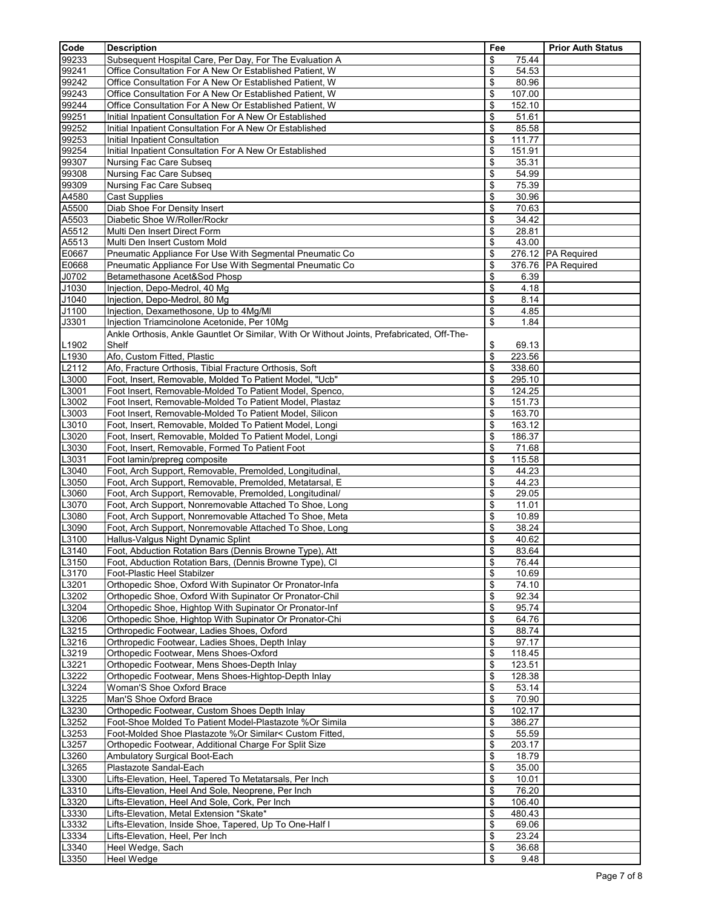| Code           | <b>Description</b>                                                                                                 | Fee                          | <b>Prior Auth Status</b> |
|----------------|--------------------------------------------------------------------------------------------------------------------|------------------------------|--------------------------|
| 99233          | Subsequent Hospital Care, Per Day, For The Evaluation A                                                            | \$<br>75.44                  |                          |
| 99241          | Office Consultation For A New Or Established Patient, W                                                            | \$<br>54.53                  |                          |
| 99242          | Office Consultation For A New Or Established Patient, W                                                            | \$<br>80.96                  |                          |
| 99243          | Office Consultation For A New Or Established Patient, W                                                            | \$<br>107.00                 |                          |
| 99244          | Office Consultation For A New Or Established Patient, W                                                            | \$<br>152.10                 |                          |
| 99251          | Initial Inpatient Consultation For A New Or Established                                                            | \$<br>51.61                  |                          |
| 99252<br>99253 | Initial Inpatient Consultation For A New Or Established<br>Initial Inpatient Consultation                          | \$<br>85.58<br>\$<br>111.77  |                          |
| 99254          | Initial Inpatient Consultation For A New Or Established                                                            | \$<br>151.91                 |                          |
| 99307          | Nursing Fac Care Subseq                                                                                            | \$<br>35.31                  |                          |
| 99308          | Nursing Fac Care Subseq                                                                                            | \$<br>54.99                  |                          |
| 99309          | Nursing Fac Care Subseq                                                                                            | \$<br>75.39                  |                          |
| A4580          | <b>Cast Supplies</b>                                                                                               | \$<br>30.96                  |                          |
| A5500          | Diab Shoe For Density Insert                                                                                       | \$<br>70.63                  |                          |
| A5503          | Diabetic Shoe W/Roller/Rockr                                                                                       | \$<br>34.42                  |                          |
| A5512          | Multi Den Insert Direct Form                                                                                       | \$<br>28.81                  |                          |
| A5513          | Multi Den Insert Custom Mold                                                                                       | \$<br>43.00                  |                          |
| E0667          | Pneumatic Appliance For Use With Segmental Pneumatic Co                                                            | \$                           | 276.12 PA Required       |
| E0668<br>J0702 | Pneumatic Appliance For Use With Segmental Pneumatic Co<br>Betamethasone Acet&Sod Phosp                            | \$<br>\$<br>6.39             | 376.76 PA Required       |
| J1030          | Injection, Depo-Medrol, 40 Mg                                                                                      | \$<br>4.18                   |                          |
| J1040          | Injection, Depo-Medrol, 80 Mg                                                                                      | \$<br>8.14                   |                          |
| J1100          | Injection, Dexamethosone, Up to 4Mg/MI                                                                             | \$<br>4.85                   |                          |
| J3301          | Injection Triamcinolone Acetonide, Per 10Mg                                                                        | \$<br>1.84                   |                          |
|                | Ankle Orthosis, Ankle Gauntlet Or Similar, With Or Without Joints, Prefabricated, Off-The-                         |                              |                          |
| L1902          | Shelf                                                                                                              | \$<br>69.13                  |                          |
| L1930          | Afo, Custom Fitted, Plastic                                                                                        | \$<br>223.56                 |                          |
| L2112          | Afo, Fracture Orthosis, Tibial Fracture Orthosis, Soft                                                             | \$<br>338.60                 |                          |
| L3000          | Foot, Insert, Removable, Molded To Patient Model, "Ucb"                                                            | \$<br>295.10                 |                          |
| L3001          | Foot Insert, Removable-Molded To Patient Model, Spenco,                                                            | \$<br>124.25                 |                          |
| L3002          | Foot Insert, Removable-Molded To Patient Model, Plastaz                                                            | \$<br>151.73                 |                          |
| L3003<br>L3010 | Foot Insert, Removable-Molded To Patient Model, Silicon<br>Foot, Insert, Removable, Molded To Patient Model, Longi | \$<br>163.70<br>\$<br>163.12 |                          |
| L3020          | Foot, Insert, Removable, Molded To Patient Model, Longi                                                            | \$<br>186.37                 |                          |
| L3030          | Foot, Insert, Removable, Formed To Patient Foot                                                                    | \$<br>71.68                  |                          |
| L3031          | Foot lamin/prepreg composite                                                                                       | \$<br>115.58                 |                          |
| L3040          | Foot, Arch Support, Removable, Premolded, Longitudinal,                                                            | \$<br>44.23                  |                          |
| L3050          | Foot, Arch Support, Removable, Premolded, Metatarsal, E                                                            | \$<br>44.23                  |                          |
| L3060          | Foot, Arch Support, Removable, Premolded, Longitudinal/                                                            | \$<br>29.05                  |                          |
| L3070          | Foot, Arch Support, Nonremovable Attached To Shoe, Long                                                            | \$<br>11.01                  |                          |
| L3080          | Foot, Arch Support, Nonremovable Attached To Shoe, Meta                                                            | \$<br>10.89                  |                          |
| L3090          | Foot, Arch Support, Nonremovable Attached To Shoe, Long                                                            | \$<br>38.24                  |                          |
| L3100<br>L3140 | Hallus-Valgus Night Dynamic Splint                                                                                 | \$<br>40.62<br>\$            |                          |
| L3150          | Foot, Abduction Rotation Bars (Dennis Browne Type), Att<br>Foot, Abduction Rotation Bars, (Dennis Browne Type), CI | 83.64<br>\$<br>76.44         |                          |
| L3170          | Foot-Plastic Heel Stabilzer                                                                                        | \$<br>10.69                  |                          |
| L3201          | Orthopedic Shoe, Oxford With Supinator Or Pronator-Infa                                                            | \$<br>74.10                  |                          |
| L3202          | Orthopedic Shoe, Oxford With Supinator Or Pronator-Chil                                                            | \$<br>92.34                  |                          |
| L3204          | Orthopedic Shoe, Hightop With Supinator Or Pronator-Inf                                                            | \$<br>95.74                  |                          |
| L3206          | Orthopedic Shoe, Hightop With Supinator Or Pronator-Chi                                                            | \$<br>64.76                  |                          |
| L3215          | Orthropedic Footwear, Ladies Shoes, Oxford                                                                         | \$<br>88.74                  |                          |
| L3216          | Orthropedic Footwear, Ladies Shoes, Depth Inlay                                                                    | \$<br>97.17                  |                          |
| L3219          | Orthopedic Footwear, Mens Shoes-Oxford                                                                             | \$<br>118.45                 |                          |
| L3221<br>L3222 | Orthopedic Footwear, Mens Shoes-Depth Inlay<br>Orthopedic Footwear, Mens Shoes-Hightop-Depth Inlay                 | \$<br>123.51<br>\$<br>128.38 |                          |
| L3224          | Woman'S Shoe Oxford Brace                                                                                          | \$<br>53.14                  |                          |
| L3225          | Man'S Shoe Oxford Brace                                                                                            | \$<br>70.90                  |                          |
| L3230          | Orthopedic Footwear, Custom Shoes Depth Inlay                                                                      | \$<br>102.17                 |                          |
| L3252          | Foot-Shoe Molded To Patient Model-Plastazote %Or Simila                                                            | \$<br>386.27                 |                          |
| L3253          | Foot-Molded Shoe Plastazote %Or Similar< Custom Fitted,                                                            | \$<br>55.59                  |                          |
| L3257          | Orthopedic Footwear, Additional Charge For Split Size                                                              | \$<br>203.17                 |                          |
| L3260          | Ambulatory Surgical Boot-Each                                                                                      | \$<br>18.79                  |                          |
| L3265          | Plastazote Sandal-Each                                                                                             | \$<br>35.00                  |                          |
| L3300          | Lifts-Elevation, Heel, Tapered To Metatarsals, Per Inch                                                            | \$<br>10.01                  |                          |
| L3310          | Lifts-Elevation, Heel And Sole, Neoprene, Per Inch                                                                 | \$<br>76.20                  |                          |
| L3320          | Lifts-Elevation, Heel And Sole, Cork, Per Inch                                                                     | \$<br>106.40                 |                          |
| L3330<br>L3332 | Lifts-Elevation, Metal Extension *Skate*<br>Lifts-Elevation, Inside Shoe, Tapered, Up To One-Half I                | \$<br>480.43<br>\$<br>69.06  |                          |
| L3334          | Lifts-Elevation, Heel, Per Inch                                                                                    | \$<br>23.24                  |                          |
| L3340          | Heel Wedge, Sach                                                                                                   | \$<br>36.68                  |                          |
| L3350          | Heel Wedge                                                                                                         | \$<br>9.48                   |                          |